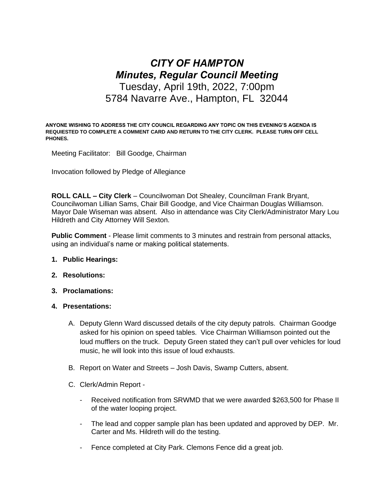# *CITY OF HAMPTON Minutes, Regular Council Meeting* Tuesday, April 19th, 2022, 7:00pm 5784 Navarre Ave., Hampton, FL 32044

**ANYONE WISHING TO ADDRESS THE CITY COUNCIL REGARDING ANY TOPIC ON THIS EVENING'S AGENDA IS REQUIESTED TO COMPLETE A COMMENT CARD AND RETURN TO THE CITY CLERK. PLEASE TURN OFF CELL PHONES.**

Meeting Facilitator: Bill Goodge, Chairman

Invocation followed by Pledge of Allegiance

**ROLL CALL – City Clerk** – Councilwoman Dot Shealey, Councilman Frank Bryant, Councilwoman Lillian Sams, Chair Bill Goodge, and Vice Chairman Douglas Williamson. Mayor Dale Wiseman was absent. Also in attendance was City Clerk/Administrator Mary Lou Hildreth and City Attorney Will Sexton.

**Public Comment** - Please limit comments to 3 minutes and restrain from personal attacks, using an individual's name or making political statements.

- **1. Public Hearings:**
- **2. Resolutions:**
- **3. Proclamations:**
- **4. Presentations:**
	- A. Deputy Glenn Ward discussed details of the city deputy patrols. Chairman Goodge asked for his opinion on speed tables. Vice Chairman Williamson pointed out the loud mufflers on the truck. Deputy Green stated they can't pull over vehicles for loud music, he will look into this issue of loud exhausts.
	- B. Report on Water and Streets Josh Davis, Swamp Cutters, absent.
	- C. Clerk/Admin Report
		- Received notification from SRWMD that we were awarded \$263,500 for Phase II of the water looping project.
		- The lead and copper sample plan has been updated and approved by DEP. Mr. Carter and Ms. Hildreth will do the testing.
		- Fence completed at City Park. Clemons Fence did a great job.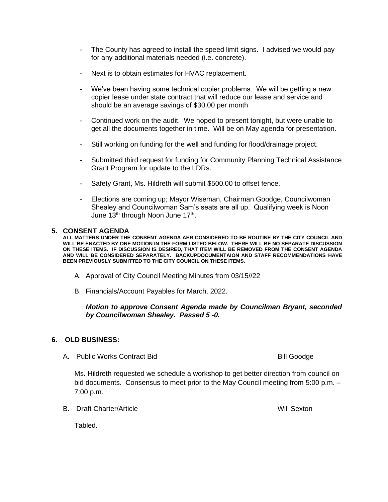- The County has agreed to install the speed limit signs. I advised we would pay for any additional materials needed (i.e. concrete).
- Next is to obtain estimates for HVAC replacement.
- We've been having some technical copier problems. We will be getting a new copier lease under state contract that will reduce our lease and service and should be an average savings of \$30.00 per month
- Continued work on the audit. We hoped to present tonight, but were unable to get all the documents together in time. Will be on May agenda for presentation.
- Still working on funding for the well and funding for flood/drainage project.
- Submitted third request for funding for Community Planning Technical Assistance Grant Program for update to the LDRs.
- Safety Grant, Ms. Hildreth will submit \$500.00 to offset fence.
- Elections are coming up; Mayor Wiseman, Chairman Goodge, Councilwoman Shealey and Councilwoman Sam's seats are all up. Qualifying week is Noon June 13<sup>th</sup> through Noon June 17<sup>th</sup>.

#### **5. CONSENT AGENDA**

**ALL MATTERS UNDER THE CONSENT AGENDA AER CONSIDERED TO BE ROUTINE BY THE CITY COUNCIL AND WILL BE ENACTED BY ONE MOTION IN THE FORM LISTED BELOW. THERE WILL BE NO SEPARATE DISCUSSION ON THESE ITEMS. IF DISCUSSION IS DESIRED, THAT ITEM WILL BE REMOVED FROM THE CONSENT AGENDA AND WILL BE CONSIDERED SEPARATELY. BACKUPDOCUMENTAION AND STAFF RECOMMENDATIONS HAVE BEEN PREVIOUSLY SUBMITTED TO THE CITY COUNCIL ON THESE ITEMS.**

- A. Approval of City Council Meeting Minutes from 03/15//22
- B. Financials/Account Payables for March, 2022.

## *Motion to approve Consent Agenda made by Councilman Bryant, seconded by Councilwoman Shealey. Passed 5 -0.*

### **6. OLD BUSINESS:**

A. Public Works Contract Bid Bill Goodge Bill Goodge

Ms. Hildreth requested we schedule a workshop to get better direction from council on bid documents. Consensus to meet prior to the May Council meeting from 5:00 p.m. – 7:00 p.m.

B. Draft Charter/Article Will Sexton

Tabled.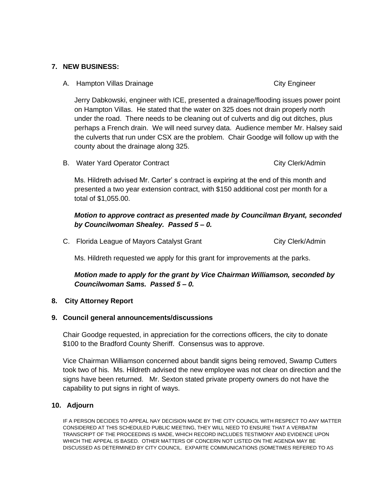# **7. NEW BUSINESS:**

A. Hampton Villas Drainage City Engineer

Jerry Dabkowski, engineer with ICE, presented a drainage/flooding issues power point on Hampton Villas. He stated that the water on 325 does not drain properly north under the road. There needs to be cleaning out of culverts and dig out ditches, plus perhaps a French drain. We will need survey data. Audience member Mr. Halsey said the culverts that run under CSX are the problem. Chair Goodge will follow up with the county about the drainage along 325.

B. Water Yard Operator Contract City Clerk/Admin

Ms. Hildreth advised Mr. Carter' s contract is expiring at the end of this month and presented a two year extension contract, with \$150 additional cost per month for a total of \$1,055.00.

# *Motion to approve contract as presented made by Councilman Bryant, seconded by Councilwoman Shealey. Passed 5 – 0.*

C. Florida League of Mayors Catalyst Grant City Clerk/Admin

Ms. Hildreth requested we apply for this grant for improvements at the parks.

# *Motion made to apply for the grant by Vice Chairman Williamson, seconded by Councilwoman Sams. Passed 5 – 0.*

# **8. City Attorney Report**

# **9. Council general announcements/discussions**

Chair Goodge requested, in appreciation for the corrections officers, the city to donate \$100 to the Bradford County Sheriff. Consensus was to approve.

Vice Chairman Williamson concerned about bandit signs being removed, Swamp Cutters took two of his. Ms. Hildreth advised the new employee was not clear on direction and the signs have been returned. Mr. Sexton stated private property owners do not have the capability to put signs in right of ways.

# **10. Adjourn**

IF A PERSON DECIDES TO APPEAL NAY DECISION MADE BY THE CITY COUNCIL WITH RESPECT TO ANY MATTER CONSIDERED AT THIS SCHEDULED PUBLIC MEETING, THEY WILL NEED TO ENSURE THAT A VERBATIM TRANSCRIPT OF THE PROCEEDINS IS MADE, WHICH RECORD INCLUDES TESTIMONY AND EVIDENCE UPON WHICH THE APPEAL IS BASED. OTHER MATTERS OF CONCERN NOT LISTED ON THE AGENDA MAY BE DISCUSSED AS DETERMINED BY CITY COUNCIL. EXPARTE COMMUNICATIONS (SOMETIMES REFERED TO AS